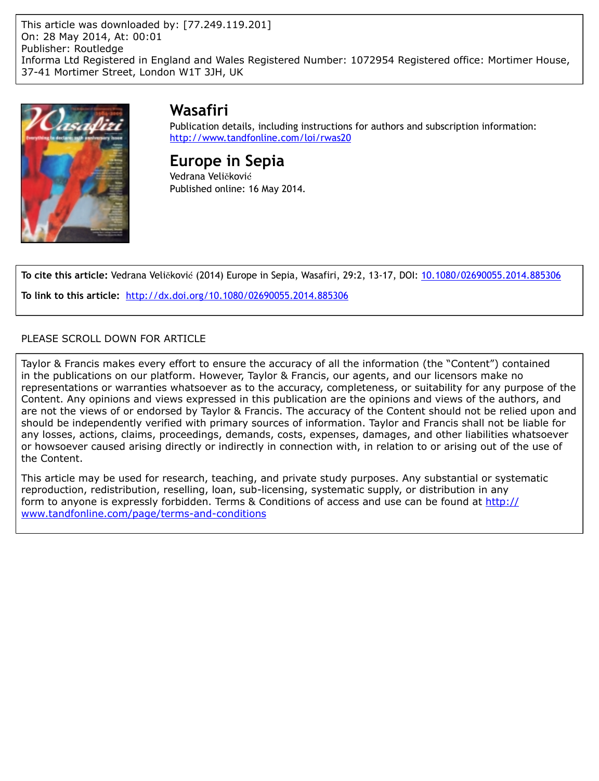

# **Wasafiri**

Publication details, including instructions for authors and subscription information: <http://www.tandfonline.com/loi/rwas20>

## **Europe in Sepia**

Vedrana Veličković Published online: 16 May 2014.

To cite this article: Vedrana Veličković (2014) Europe in Sepia, Wasafiri, 29:2, 13-17, DOI: [10.1080/02690055.2014.885306](http://www.tandfonline.com/action/showCitFormats?doi=10.1080/02690055.2014.885306)

**To link to this article:** <http://dx.doi.org/10.1080/02690055.2014.885306>

### PLEASE SCROLL DOWN FOR ARTICLE

Taylor & Francis makes every effort to ensure the accuracy of all the information (the "Content") contained in the publications on our platform. However, Taylor & Francis, our agents, and our licensors make no representations or warranties whatsoever as to the accuracy, completeness, or suitability for any purpose of the Content. Any opinions and views expressed in this publication are the opinions and views of the authors, and are not the views of or endorsed by Taylor & Francis. The accuracy of the Content should not be relied upon and should be independently verified with primary sources of information. Taylor and Francis shall not be liable for any losses, actions, claims, proceedings, demands, costs, expenses, damages, and other liabilities whatsoever or howsoever caused arising directly or indirectly in connection with, in relation to or arising out of the use of the Content.

This article may be used for research, teaching, and private study purposes. Any substantial or systematic reproduction, redistribution, reselling, loan, sub-licensing, systematic supply, or distribution in any form to anyone is expressly forbidden. Terms & Conditions of access and use can be found at [http://](http://www.tandfonline.com/page/terms-and-conditions) [www.tandfonline.com/page/terms-and-conditions](http://www.tandfonline.com/page/terms-and-conditions)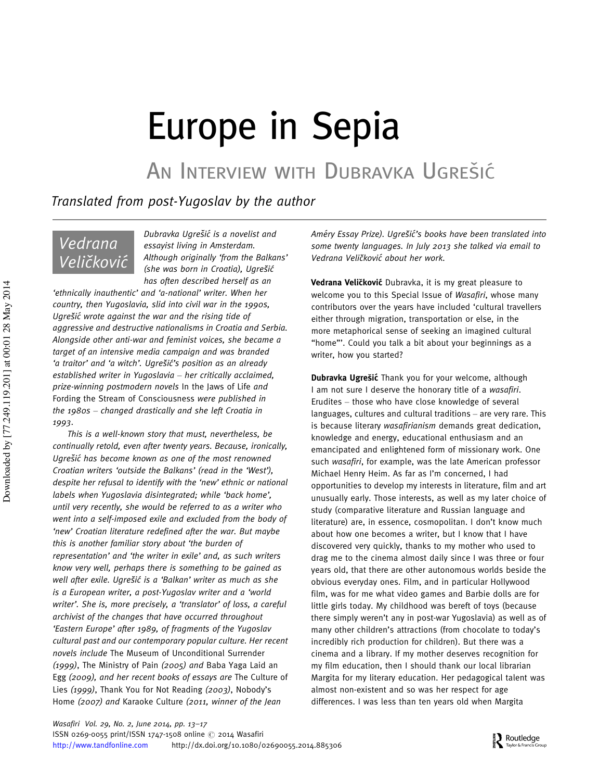# Europe in Sepia

# AN INTERVIEW WITH DUBRAVKA UGREŠIĆ

## Translated from post-Yugoslav by the author

## Vedrana Veličković

Dubravka Uarešić is a novelist and essayist living in Amsterdam. Although originally 'from the Balkans' (she was born in Croatia), Ugrešić has often described herself as an

'ethnically inauthentic' and 'a-national' writer. When her country, then Yugoslavia, slid into civil war in the 1990s, Ugrešić wrote against the war and the rising tide of aggressive and destructive nationalisms in Croatia and Serbia. Alongside other anti-war and feminist voices, she became a target of an intensive media campaign and was branded 'a traitor' and 'a witch'. Ugrešić's position as an already established writer in Yugoslavia – her critically acclaimed, prize-winning postmodern novels In the Jaws of Life and Fording the Stream of Consciousness were published in the 1980s – changed drastically and she left Croatia in 1993.

This is a well-known story that must, nevertheless, be continually retold, even after twenty years. Because, ironically, Ugrešić has become known as one of the most renowned Croatian writers 'outside the Balkans' (read in the 'West'), despite her refusal to identify with the 'new' ethnic or national labels when Yugoslavia disintegrated; while 'back home', until very recently, she would be referred to as a writer who went into a self-imposed exile and excluded from the body of 'new' Croatian literature redefined after the war. But maybe this is another familiar story about 'the burden of representation' and 'the writer in exile' and, as such writers know very well, perhaps there is something to be gained as well after exile. Ugrešić is a 'Balkan' writer as much as she is a European writer, a post-Yugoslav writer and a 'world writer'. She is, more precisely, a 'translator' of loss, a careful archivist of the changes that have occurred throughout 'Eastern Europe' after 1989, of fragments of the Yugoslav cultural past and our contemporary popular culture. Her recent novels include The Museum of Unconditional Surrender (1999), The Ministry of Pain (2005) and Baba Yaga Laid an Egg (2009), and her recent books of essays are The Culture of Lies (1999), Thank You for Not Reading (2003), Nobody's Home (2007) and Karaoke Culture (2011, winner of the Jean

Améry Essay Prize). Ugrešić's books have been translated into some twenty languages. In July 2013 she talked via email to Vedrana Veličković about her work.

Vedrana Veličković Dubravka, it is my great pleasure to welcome you to this Special Issue of Wasafiri, whose many contributors over the years have included 'cultural travellers either through migration, transportation or else, in the more metaphorical sense of seeking an imagined cultural "home"'. Could you talk a bit about your beginnings as a writer, how you started?

Dubravka Ugrešić Thank you for your welcome, although I am not sure I deserve the honorary title of a wasafiri. Erudites – those who have close knowledge of several languages, cultures and cultural traditions – are very rare. This is because literary wasafirianism demands great dedication, knowledge and energy, educational enthusiasm and an emancipated and enlightened form of missionary work. One such wasafiri, for example, was the late American professor Michael Henry Heim. As far as I'm concerned, I had opportunities to develop my interests in literature, film and art unusually early. Those interests, as well as my later choice of study (comparative literature and Russian language and literature) are, in essence, cosmopolitan. I don't know much about how one becomes a writer, but I know that I have discovered very quickly, thanks to my mother who used to drag me to the cinema almost daily since I was three or four years old, that there are other autonomous worlds beside the obvious everyday ones. Film, and in particular Hollywood film, was for me what video games and Barbie dolls are for little girls today. My childhood was bereft of toys (because there simply weren't any in post-war Yugoslavia) as well as of many other children's attractions (from chocolate to today's incredibly rich production for children). But there was a cinema and a library. If my mother deserves recognition for my film education, then I should thank our local librarian Margita for my literary education. Her pedagogical talent was almost non-existent and so was her respect for age differences. I was less than ten years old when Margita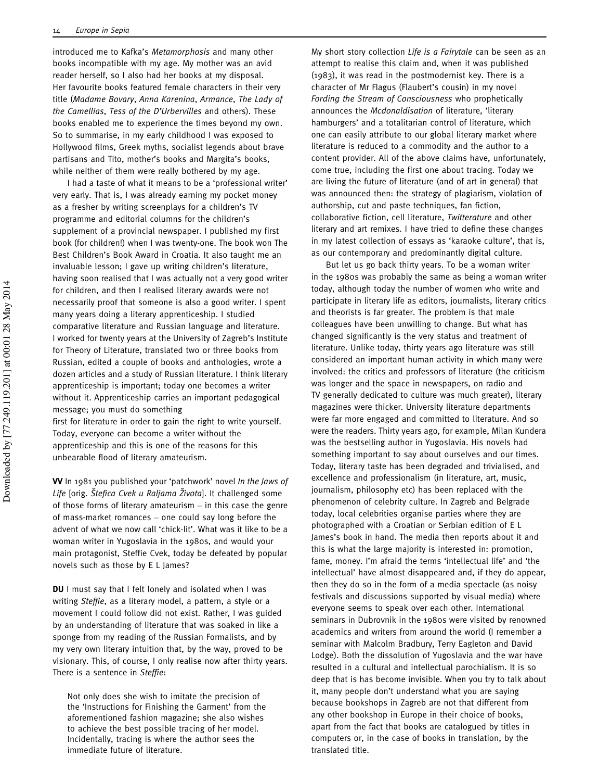introduced me to Kafka's Metamorphosis and many other books incompatible with my age. My mother was an avid reader herself, so I also had her books at my disposal. Her favourite books featured female characters in their very title (Madame Bovary, Anna Karenina, Armance, The Lady of the Camellias, Tess of the D'Urbervilles and others). These books enabled me to experience the times beyond my own. So to summarise, in my early childhood I was exposed to Hollywood films, Greek myths, socialist legends about brave partisans and Tito, mother's books and Margita's books, while neither of them were really bothered by my age.

I had a taste of what it means to be a 'professional writer' very early. That is, I was already earning my pocket money as a fresher by writing screenplays for a children's TV programme and editorial columns for the children's supplement of a provincial newspaper. I published my first book (for children!) when I was twenty-one. The book won The Best Children's Book Award in Croatia. It also taught me an invaluable lesson; I gave up writing children's literature, having soon realised that I was actually not a very good writer for children, and then I realised literary awards were not necessarily proof that someone is also a good writer. I spent many years doing a literary apprenticeship. I studied comparative literature and Russian language and literature. I worked for twenty years at the University of Zagreb's Institute for Theory of Literature, translated two or three books from Russian, edited a couple of books and anthologies, wrote a dozen articles and a study of Russian literature. I think literary apprenticeship is important; today one becomes a writer without it. Apprenticeship carries an important pedagogical message; you must do something

first for literature in order to gain the right to write yourself. Today, everyone can become a writer without the apprenticeship and this is one of the reasons for this unbearable flood of literary amateurism.

W In 1981 you published your 'patchwork' novel In the Jaws of Life [orig. Štefica Cvek u Raljama Života]. It challenged some of those forms of literary amateurism – in this case the genre of mass-market romances – one could say long before the advent of what we now call 'chick-lit'. What was it like to be a woman writer in Yugoslavia in the 1980s, and would your main protagonist, Steffie Cvek, today be defeated by popular novels such as those by E L James?

DU I must say that I felt lonely and isolated when I was writing Steffie, as a literary model, a pattern, a style or a movement I could follow did not exist. Rather, I was guided by an understanding of literature that was soaked in like a sponge from my reading of the Russian Formalists, and by my very own literary intuition that, by the way, proved to be visionary. This, of course, I only realise now after thirty years. There is a sentence in Steffie:

Not only does she wish to imitate the precision of the 'Instructions for Finishing the Garment' from the aforementioned fashion magazine; she also wishes to achieve the best possible tracing of her model. Incidentally, tracing is where the author sees the immediate future of literature.

My short story collection Life is a Fairytale can be seen as an attempt to realise this claim and, when it was published (1983), it was read in the postmodernist key. There is a character of Mr Flagus (Flaubert's cousin) in my novel Fording the Stream of Consciousness who prophetically announces the Mcdonaldisation of literature, 'literary hamburgers' and a totalitarian control of literature, which one can easily attribute to our global literary market where literature is reduced to a commodity and the author to a content provider. All of the above claims have, unfortunately, come true, including the first one about tracing. Today we are living the future of literature (and of art in general) that was announced then: the strategy of plagiarism, violation of authorship, cut and paste techniques, fan fiction, collaborative fiction, cell literature, Twitterature and other literary and art remixes. I have tried to define these changes in my latest collection of essays as 'karaoke culture', that is, as our contemporary and predominantly digital culture.

But let us go back thirty years. To be a woman writer in the 1980s was probably the same as being a woman writer today, although today the number of women who write and participate in literary life as editors, journalists, literary critics and theorists is far greater. The problem is that male colleagues have been unwilling to change. But what has changed significantly is the very status and treatment of literature. Unlike today, thirty years ago literature was still considered an important human activity in which many were involved: the critics and professors of literature (the criticism was longer and the space in newspapers, on radio and TV generally dedicated to culture was much greater), literary magazines were thicker. University literature departments were far more engaged and committed to literature. And so were the readers. Thirty years ago, for example, Milan Kundera was the bestselling author in Yugoslavia. His novels had something important to say about ourselves and our times. Today, literary taste has been degraded and trivialised, and excellence and professionalism (in literature, art, music, journalism, philosophy etc) has been replaced with the phenomenon of celebrity culture. In Zagreb and Belgrade today, local celebrities organise parties where they are photographed with a Croatian or Serbian edition of E L James's book in hand. The media then reports about it and this is what the large majority is interested in: promotion, fame, money. I'm afraid the terms 'intellectual life' and 'the intellectual' have almost disappeared and, if they do appear, then they do so in the form of a media spectacle (as noisy festivals and discussions supported by visual media) where everyone seems to speak over each other. International seminars in Dubrovnik in the 1980s were visited by renowned academics and writers from around the world (I remember a seminar with Malcolm Bradbury, Terry Eagleton and David Lodge). Both the dissolution of Yugoslavia and the war have resulted in a cultural and intellectual parochialism. It is so deep that is has become invisible. When you try to talk about it, many people don't understand what you are saying because bookshops in Zagreb are not that different from any other bookshop in Europe in their choice of books, apart from the fact that books are catalogued by titles in computers or, in the case of books in translation, by the translated title.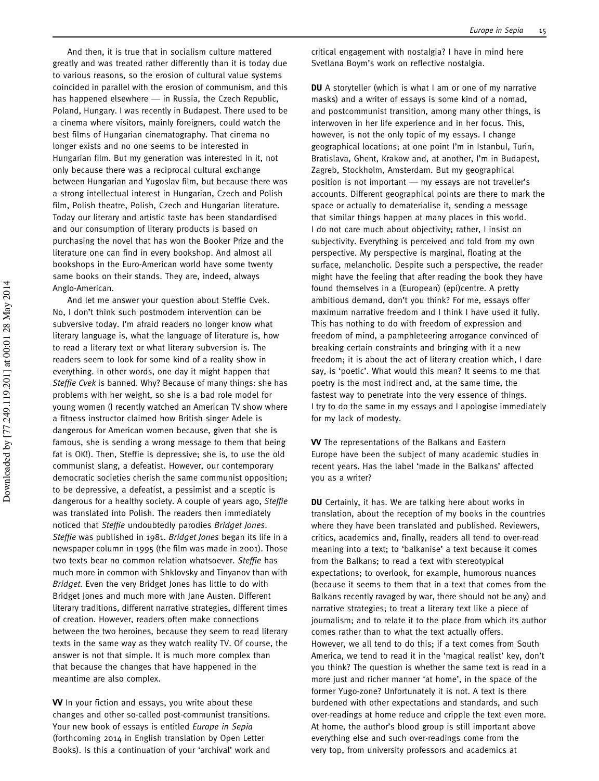And then, it is true that in socialism culture mattered greatly and was treated rather differently than it is today due to various reasons, so the erosion of cultural value systems coincided in parallel with the erosion of communism, and this has happened elsewhere — in Russia, the Czech Republic, Poland, Hungary. I was recently in Budapest. There used to be a cinema where visitors, mainly foreigners, could watch the best films of Hungarian cinematography. That cinema no longer exists and no one seems to be interested in Hungarian film. But my generation was interested in it, not only because there was a reciprocal cultural exchange between Hungarian and Yugoslav film, but because there was a strong intellectual interest in Hungarian, Czech and Polish film, Polish theatre, Polish, Czech and Hungarian literature. Today our literary and artistic taste has been standardised and our consumption of literary products is based on purchasing the novel that has won the Booker Prize and the literature one can find in every bookshop. And almost all bookshops in the Euro-American world have some twenty same books on their stands. They are, indeed, always Anglo-American.

And let me answer your question about Steffie Cvek. No, I don't think such postmodern intervention can be subversive today. I'm afraid readers no longer know what literary language is, what the language of literature is, how to read a literary text or what literary subversion is. The readers seem to look for some kind of a reality show in everything. In other words, one day it might happen that Steffie Cvek is banned. Why? Because of many things: she has problems with her weight, so she is a bad role model for young women (I recently watched an American TV show where a fitness instructor claimed how British singer Adele is dangerous for American women because, given that she is famous, she is sending a wrong message to them that being fat is OK!). Then, Steffie is depressive; she is, to use the old communist slang, a defeatist. However, our contemporary democratic societies cherish the same communist opposition; to be depressive, a defeatist, a pessimist and a sceptic is dangerous for a healthy society. A couple of years ago, Steffie was translated into Polish. The readers then immediately noticed that Steffie undoubtedly parodies Bridget Jones. Steffie was published in 1981. Bridget Jones began its life in a newspaper column in 1995 (the film was made in 2001). Those two texts bear no common relation whatsoever. Steffie has much more in common with Shklovsky and Tinyanov than with Bridget. Even the very Bridget Jones has little to do with Bridget Jones and much more with Jane Austen. Different literary traditions, different narrative strategies, different times of creation. However, readers often make connections between the two heroines, because they seem to read literary texts in the same way as they watch reality TV. Of course, the answer is not that simple. It is much more complex than that because the changes that have happened in the meantime are also complex.

VV In your fiction and essays, you write about these changes and other so-called post-communist transitions. Your new book of essays is entitled Europe in Sepia (forthcoming 2014 in English translation by Open Letter Books). Is this a continuation of your 'archival' work and

critical engagement with nostalgia? I have in mind here Svetlana Boym's work on reflective nostalgia.

DU A storyteller (which is what I am or one of my narrative masks) and a writer of essays is some kind of a nomad, and postcommunist transition, among many other things, is interwoven in her life experience and in her focus. This, however, is not the only topic of my essays. I change geographical locations; at one point I'm in Istanbul, Turin, Bratislava, Ghent, Krakow and, at another, I'm in Budapest, Zagreb, Stockholm, Amsterdam. But my geographical position is not important — my essays are not traveller's accounts. Different geographical points are there to mark the space or actually to dematerialise it, sending a message that similar things happen at many places in this world. I do not care much about objectivity; rather, I insist on subjectivity. Everything is perceived and told from my own perspective. My perspective is marginal, floating at the surface, melancholic. Despite such a perspective, the reader might have the feeling that after reading the book they have found themselves in a (European) (epi)centre. A pretty ambitious demand, don't you think? For me, essays offer maximum narrative freedom and I think I have used it fully. This has nothing to do with freedom of expression and freedom of mind, a pamphleteering arrogance convinced of breaking certain constraints and bringing with it a new freedom; it is about the act of literary creation which, I dare say, is 'poetic'. What would this mean? It seems to me that poetry is the most indirect and, at the same time, the fastest way to penetrate into the very essence of things. I try to do the same in my essays and I apologise immediately for my lack of modesty.

VV The representations of the Balkans and Eastern Europe have been the subject of many academic studies in recent years. Has the label 'made in the Balkans' affected you as a writer?

DU Certainly, it has. We are talking here about works in translation, about the reception of my books in the countries where they have been translated and published. Reviewers, critics, academics and, finally, readers all tend to over-read meaning into a text; to 'balkanise' a text because it comes from the Balkans; to read a text with stereotypical expectations; to overlook, for example, humorous nuances (because it seems to them that in a text that comes from the Balkans recently ravaged by war, there should not be any) and narrative strategies; to treat a literary text like a piece of journalism; and to relate it to the place from which its author comes rather than to what the text actually offers. However, we all tend to do this; if a text comes from South America, we tend to read it in the 'magical realist' key, don't you think? The question is whether the same text is read in a more just and richer manner 'at home', in the space of the former Yugo-zone? Unfortunately it is not. A text is there burdened with other expectations and standards, and such over-readings at home reduce and cripple the text even more. At home, the author's blood group is still important above everything else and such over-readings come from the very top, from university professors and academics at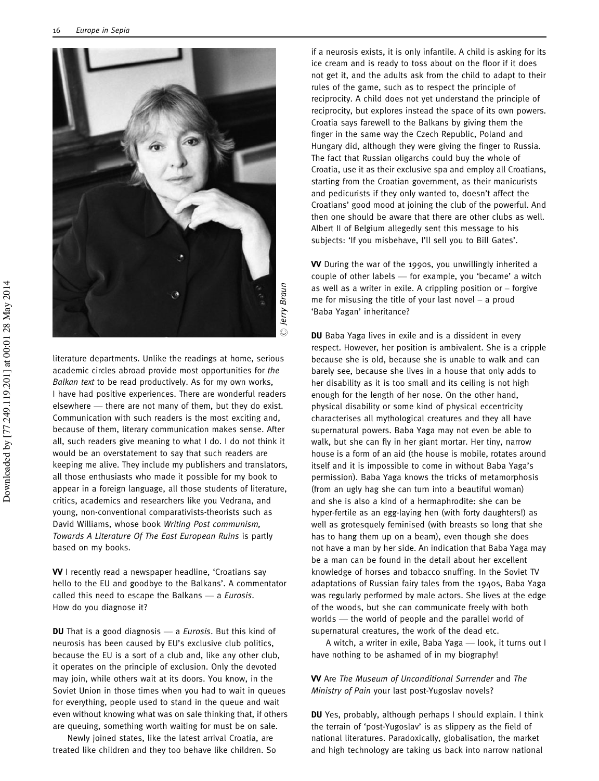

literature departments. Unlike the readings at home, serious academic circles abroad provide most opportunities for the Balkan text to be read productively. As for my own works, I have had positive experiences. There are wonderful readers elsewhere — there are not many of them, but they do exist. Communication with such readers is the most exciting and, because of them, literary communication makes sense. After all, such readers give meaning to what I do. I do not think it would be an overstatement to say that such readers are keeping me alive. They include my publishers and translators, all those enthusiasts who made it possible for my book to appear in a foreign language, all those students of literature, critics, academics and researchers like you Vedrana, and young, non-conventional comparativists-theorists such as David Williams, whose book Writing Post communism, Towards A Literature Of The East European Ruins is partly based on my books.

VV I recently read a newspaper headline, 'Croatians say hello to the EU and goodbye to the Balkans'. A commentator called this need to escape the Balkans – a Eurosis. How do you diagnose it?

**DU** That is a good diagnosis  $-$  a *Eurosis*. But this kind of neurosis has been caused by EU's exclusive club politics, because the EU is a sort of a club and, like any other club, it operates on the principle of exclusion. Only the devoted may join, while others wait at its doors. You know, in the Soviet Union in those times when you had to wait in queues for everything, people used to stand in the queue and wait even without knowing what was on sale thinking that, if others are queuing, something worth waiting for must be on sale.

Newly joined states, like the latest arrival Croatia, are treated like children and they too behave like children. So if a neurosis exists, it is only infantile. A child is asking for its ice cream and is ready to toss about on the floor if it does not get it, and the adults ask from the child to adapt to their rules of the game, such as to respect the principle of reciprocity. A child does not yet understand the principle of reciprocity, but explores instead the space of its own powers. Croatia says farewell to the Balkans by giving them the finger in the same way the Czech Republic, Poland and Hungary did, although they were giving the finger to Russia. The fact that Russian oligarchs could buy the whole of Croatia, use it as their exclusive spa and employ all Croatians, starting from the Croatian government, as their manicurists and pedicurists if they only wanted to, doesn't affect the Croatians' good mood at joining the club of the powerful. And then one should be aware that there are other clubs as well. Albert II of Belgium allegedly sent this message to his subjects: 'If you misbehave, I'll sell you to Bill Gates'.

VV During the war of the 1990s, you unwillingly inherited a couple of other labels — for example, you 'became' a witch as well as a writer in exile. A crippling position or  $-$  forgive me for misusing the title of your last novel  $-$  a proud 'Baba Yagan' inheritance?

DU Baba Yaga lives in exile and is a dissident in every respect. However, her position is ambivalent. She is a cripple because she is old, because she is unable to walk and can barely see, because she lives in a house that only adds to her disability as it is too small and its ceiling is not high enough for the length of her nose. On the other hand, physical disability or some kind of physical eccentricity characterises all mythological creatures and they all have supernatural powers. Baba Yaga may not even be able to walk, but she can fly in her giant mortar. Her tiny, narrow house is a form of an aid (the house is mobile, rotates around itself and it is impossible to come in without Baba Yaga's permission). Baba Yaga knows the tricks of metamorphosis (from an ugly hag she can turn into a beautiful woman) and she is also a kind of a hermaphrodite: she can be hyper-fertile as an egg-laying hen (with forty daughters!) as well as grotesquely feminised (with breasts so long that she has to hang them up on a beam), even though she does not have a man by her side. An indication that Baba Yaga may be a man can be found in the detail about her excellent knowledge of horses and tobacco snuffing. In the Soviet TV adaptations of Russian fairy tales from the 1940s, Baba Yaga was regularly performed by male actors. She lives at the edge of the woods, but she can communicate freely with both worlds — the world of people and the parallel world of supernatural creatures, the work of the dead etc.

A witch, a writer in exile, Baba Yaga — look, it turns out I have nothing to be ashamed of in my biography!

#### VV Are The Museum of Unconditional Surrender and The Ministry of Pain your last post-Yugoslav novels?

DU Yes, probably, although perhaps I should explain. I think the terrain of 'post-Yugoslav' is as slippery as the field of national literatures. Paradoxically, globalisation, the market and high technology are taking us back into narrow national